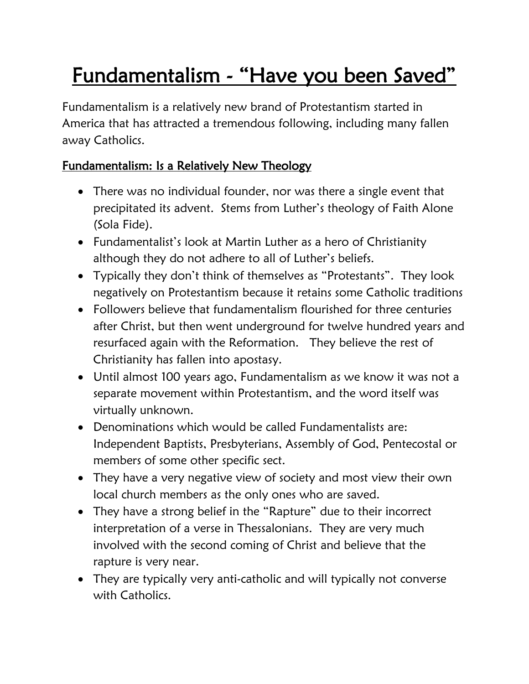# Fundamentalism - "Have you been Saved"

Fundamentalism is a relatively new brand of Protestantism started in America that has attracted a tremendous following, including many fallen away Catholics.

#### Fundamentalism: Is a Relatively New Theology

- There was no individual founder, nor was there a single event that precipitated its advent. Stems from Luther's theology of Faith Alone (Sola Fide).
- Fundamentalist's look at Martin Luther as a hero of Christianity although they do not adhere to all of Luther's beliefs.
- Typically they don't think of themselves as "Protestants". They look negatively on Protestantism because it retains some Catholic traditions
- Followers believe that fundamentalism flourished for three centuries after Christ, but then went underground for twelve hundred years and resurfaced again with the Reformation. They believe the rest of Christianity has fallen into apostasy.
- Until almost 100 years ago, Fundamentalism as we know it was not a separate movement within Protestantism, and the word itself was virtually unknown.
- Denominations which would be called Fundamentalists are: Independent Baptists, Presbyterians, Assembly of God, Pentecostal or members of some other specific sect.
- They have a very negative view of society and most view their own local church members as the only ones who are saved.
- They have a strong belief in the "Rapture" due to their incorrect interpretation of a verse in Thessalonians. They are very much involved with the second coming of Christ and believe that the rapture is very near.
- They are typically very anti-catholic and will typically not converse with Catholics.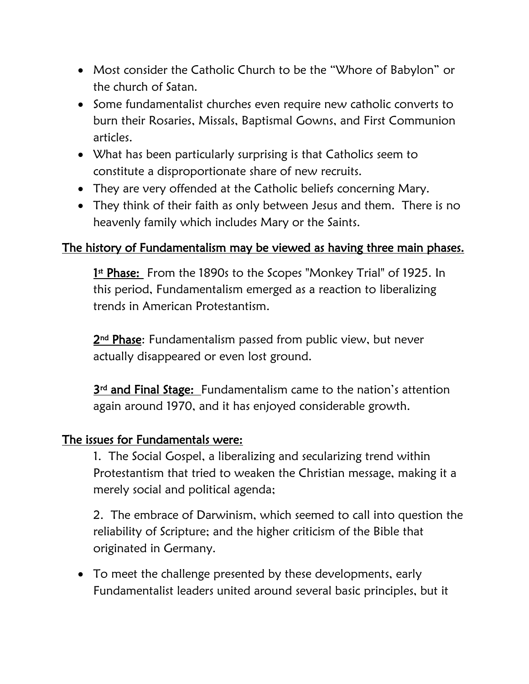- Most consider the Catholic Church to be the "Whore of Babylon" or the church of Satan.
- Some fundamentalist churches even require new catholic converts to burn their Rosaries, Missals, Baptismal Gowns, and First Communion articles.
- What has been particularly surprising is that Catholics seem to constitute a disproportionate share of new recruits.
- They are very offended at the Catholic beliefs concerning Mary.
- They think of their faith as only between Jesus and them. There is no heavenly family which includes Mary or the Saints.

#### The history of Fundamentalism may be viewed as having three main phases.

1st Phase: From the 1890s to the Scopes "Monkey Trial" of 1925. In this period, Fundamentalism emerged as a reaction to liberalizing trends in American Protestantism.

2<sup>nd</sup> Phase: Fundamentalism passed from public view, but never actually disappeared or even lost ground.

3<sup>rd</sup> and Final Stage: Fundamentalism came to the nation's attention again around 1970, and it has enjoyed considerable growth.

#### The issues for Fundamentals were:

1. The Social Gospel, a liberalizing and secularizing trend within Protestantism that tried to weaken the Christian message, making it a merely social and political agenda;

2. The embrace of Darwinism, which seemed to call into question the reliability of Scripture; and the higher criticism of the Bible that originated in Germany.

 To meet the challenge presented by these developments, early Fundamentalist leaders united around several basic principles, but it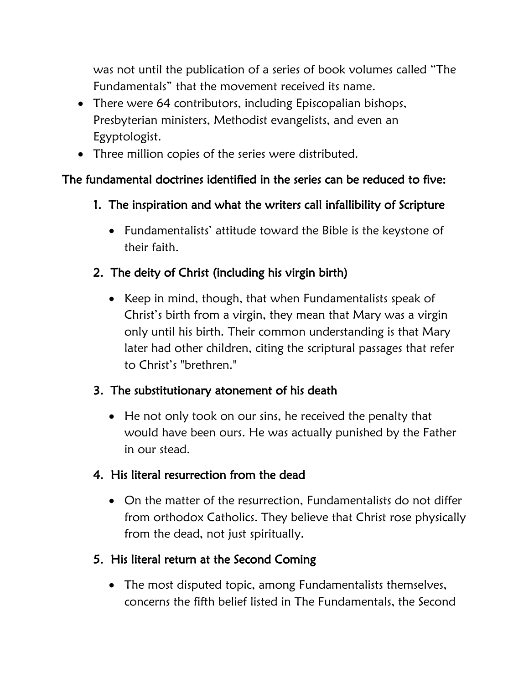was not until the publication of a series of book volumes called "The Fundamentals" that the movement received its name.

- There were 64 contributors, including Episcopalian bishops, Presbyterian ministers, Methodist evangelists, and even an Egyptologist.
- Three million copies of the series were distributed.

## The fundamental doctrines identified in the series can be reduced to five:

- 1. The inspiration and what the writers call infallibility of Scripture
	- Fundamentalists' attitude toward the Bible is the keystone of their faith.

## 2. The deity of Christ (including his virgin birth)

• Keep in mind, though, that when Fundamentalists speak of Christ's birth from a virgin, they mean that Mary was a virgin only until his birth. Their common understanding is that Mary later had other children, citing the scriptural passages that refer to Christ's "brethren."

## 3. The substitutionary atonement of his death

• He not only took on our sins, he received the penalty that would have been ours. He was actually punished by the Father in our stead.

## 4. His literal resurrection from the dead

 On the matter of the resurrection, Fundamentalists do not differ from orthodox Catholics. They believe that Christ rose physically from the dead, not just spiritually.

# 5. His literal return at the Second Coming

 The most disputed topic, among Fundamentalists themselves, concerns the fifth belief listed in The Fundamentals, the Second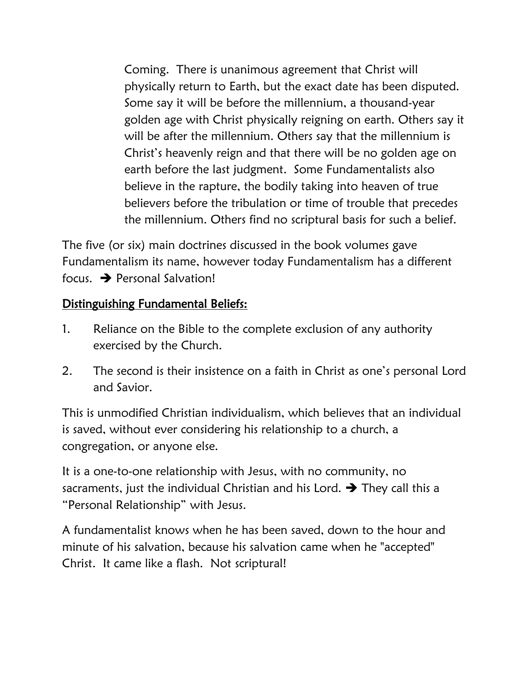Coming. There is unanimous agreement that Christ will physically return to Earth, but the exact date has been disputed. Some say it will be before the millennium, a thousand-year golden age with Christ physically reigning on earth. Others say it will be after the millennium. Others say that the millennium is Christ's heavenly reign and that there will be no golden age on earth before the last judgment. Some Fundamentalists also believe in the rapture, the bodily taking into heaven of true believers before the tribulation or time of trouble that precedes the millennium. Others find no scriptural basis for such a belief.

The five (or six) main doctrines discussed in the book volumes gave Fundamentalism its name, however today Fundamentalism has a different focus.  $\rightarrow$  Personal Salvation!

#### Distinguishing Fundamental Beliefs:

- 1. Reliance on the Bible to the complete exclusion of any authority exercised by the Church.
- 2. The second is their insistence on a faith in Christ as one's personal Lord and Savior.

This is unmodified Christian individualism, which believes that an individual is saved, without ever considering his relationship to a church, a congregation, or anyone else.

It is a one-to-one relationship with Jesus, with no community, no sacraments, just the individual Christian and his Lord.  $\rightarrow$  They call this a "Personal Relationship" with Jesus.

A fundamentalist knows when he has been saved, down to the hour and minute of his salvation, because his salvation came when he "accepted" Christ. It came like a flash. Not scriptural!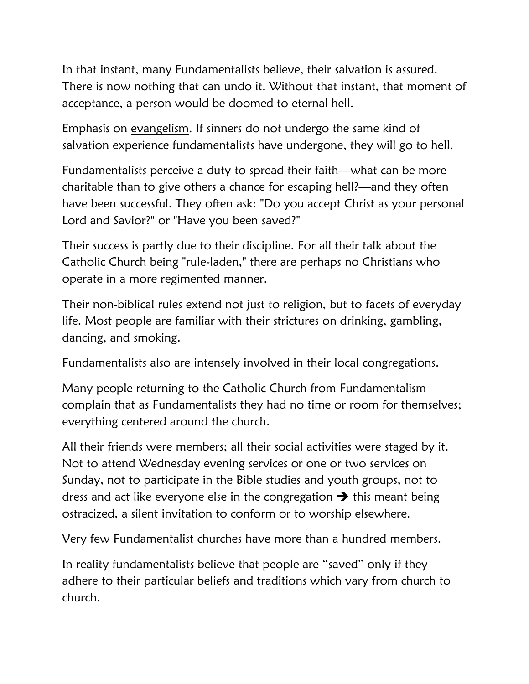In that instant, many Fundamentalists believe, their salvation is assured. There is now nothing that can undo it. Without that instant, that moment of acceptance, a person would be doomed to eternal hell.

Emphasis on evangelism. If sinners do not undergo the same kind of salvation experience fundamentalists have undergone, they will go to hell.

Fundamentalists perceive a duty to spread their faith—what can be more charitable than to give others a chance for escaping hell?—and they often have been successful. They often ask: "Do you accept Christ as your personal Lord and Savior?" or "Have you been saved?"

Their success is partly due to their discipline. For all their talk about the Catholic Church being "rule-laden," there are perhaps no Christians who operate in a more regimented manner.

Their non-biblical rules extend not just to religion, but to facets of everyday life. Most people are familiar with their strictures on drinking, gambling, dancing, and smoking.

Fundamentalists also are intensely involved in their local congregations.

Many people returning to the Catholic Church from Fundamentalism complain that as Fundamentalists they had no time or room for themselves; everything centered around the church.

All their friends were members; all their social activities were staged by it. Not to attend Wednesday evening services or one or two services on Sunday, not to participate in the Bible studies and youth groups, not to dress and act like everyone else in the congregation  $\rightarrow$  this meant being ostracized, a silent invitation to conform or to worship elsewhere.

Very few Fundamentalist churches have more than a hundred members.

In reality fundamentalists believe that people are "saved" only if they adhere to their particular beliefs and traditions which vary from church to church.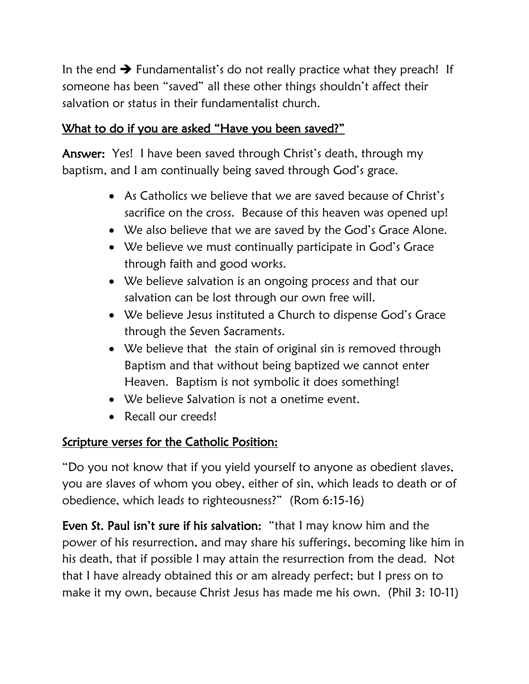In the end  $\rightarrow$  Fundamentalist's do not really practice what they preach! If someone has been "saved" all these other things shouldn't affect their salvation or status in their fundamentalist church.

#### What to do if you are asked "Have you been saved?"

Answer: Yes! I have been saved through Christ's death, through my baptism, and I am continually being saved through God's grace.

- As Catholics we believe that we are saved because of Christ's sacrifice on the cross. Because of this heaven was opened up!
- We also believe that we are saved by the God's Grace Alone.
- We believe we must continually participate in God's Grace through faith and good works.
- We believe salvation is an ongoing process and that our salvation can be lost through our own free will.
- We believe Jesus instituted a Church to dispense God's Grace through the Seven Sacraments.
- We believe that the stain of original sin is removed through Baptism and that without being baptized we cannot enter Heaven. Baptism is not symbolic it does something!
- We believe Salvation is not a onetime event.
- Recall our creeds!

## Scripture verses for the Catholic Position:

"Do you not know that if you yield yourself to anyone as obedient slaves, you are slaves of whom you obey, either of sin, which leads to death or of obedience, which leads to righteousness?" (Rom 6:15-16)

Even St. Paul isn't sure if his salvation: "that I may know him and the power of his resurrection, and may share his sufferings, becoming like him in his death, that if possible I may attain the resurrection from the dead. Not that I have already obtained this or am already perfect; but I press on to make it my own, because Christ Jesus has made me his own. (Phil 3: 10-11)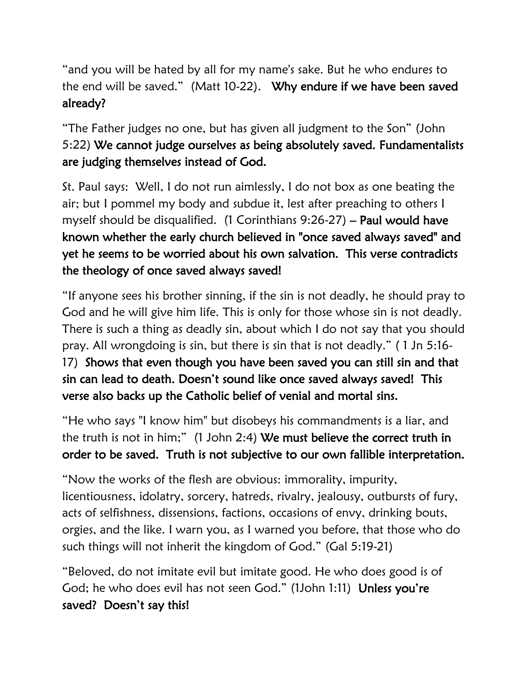"and you will be hated by all for my name's sake. But he who endures to the end will be saved." (Matt 10-22). Why endure if we have been saved already?

"The Father judges no one, but has given all judgment to the Son" (John 5:22) We cannot judge ourselves as being absolutely saved. Fundamentalists are judging themselves instead of God.

St. Paul says: Well, I do not run aimlessly, I do not box as one beating the air; but I pommel my body and subdue it, lest after preaching to others I myself should be disqualified. (1 Corinthians 9:26-27) – Paul would have known whether the early church believed in "once saved always saved" and yet he seems to be worried about his own salvation. This verse contradicts the theology of once saved always saved!

"If anyone sees his brother sinning, if the sin is not deadly, he should pray to God and he will give him life. This is only for those whose sin is not deadly. There is such a thing as deadly sin, about which I do not say that you should pray. All wrongdoing is sin, but there is sin that is not deadly." ( 1 Jn 5:16- 17) Shows that even though you have been saved you can still sin and that sin can lead to death. Doesn't sound like once saved always saved! This verse also backs up the Catholic belief of venial and mortal sins.

"He who says "I know him" but disobeys his commandments is a liar, and the truth is not in him;" (1 John 2:4) We must believe the correct truth in order to be saved. Truth is not subjective to our own fallible interpretation.

"Now the works of the flesh are obvious: immorality, impurity, licentiousness, idolatry, sorcery, hatreds, rivalry, jealousy, outbursts of fury, acts of selfishness, dissensions, factions, occasions of envy, drinking bouts, orgies, and the like. I warn you, as I warned you before, that those who do such things will not inherit the kingdom of God." (Gal 5:19-21)

"Beloved, do not imitate evil but imitate good. He who does good is of God; he who does evil has not seen God." (1John 1:11) Unless you're saved? Doesn't say this!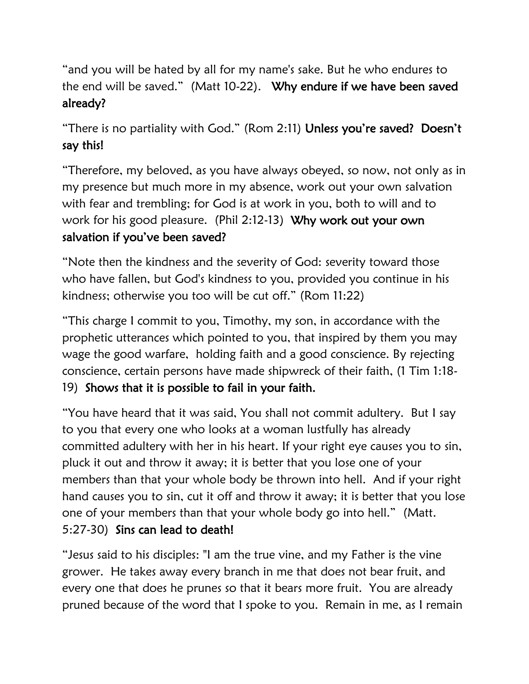"and you will be hated by all for my name's sake. But he who endures to the end will be saved." (Matt 10-22). Why endure if we have been saved already?

"There is no partiality with God." (Rom 2:11) Unless you're saved? Doesn't say this!

"Therefore, my beloved, as you have always obeyed, so now, not only as in my presence but much more in my absence, work out your own salvation with fear and trembling; for God is at work in you, both to will and to work for his good pleasure. (Phil 2:12-13) Why work out your own salvation if you've been saved?

"Note then the kindness and the severity of God: severity toward those who have fallen, but God's kindness to you, provided you continue in his kindness; otherwise you too will be cut off." (Rom 11:22)

"This charge I commit to you, Timothy, my son, in accordance with the prophetic utterances which pointed to you, that inspired by them you may wage the good warfare, holding faith and a good conscience. By rejecting conscience, certain persons have made shipwreck of their faith, (1 Tim 1:18- 19) Shows that it is possible to fail in your faith.

"You have heard that it was said, You shall not commit adultery. But I say to you that every one who looks at a woman lustfully has already committed adultery with her in his heart. If your right eye causes you to sin, pluck it out and throw it away; it is better that you lose one of your members than that your whole body be thrown into hell. And if your right hand causes you to sin, cut it off and throw it away; it is better that you lose one of your members than that your whole body go into hell." (Matt. 5:27-30) Sins can lead to death!

"Jesus said to his disciples: "I am the true vine, and my Father is the vine grower. He takes away every branch in me that does not bear fruit, and every one that does he prunes so that it bears more fruit. You are already pruned because of the word that I spoke to you. Remain in me, as I remain